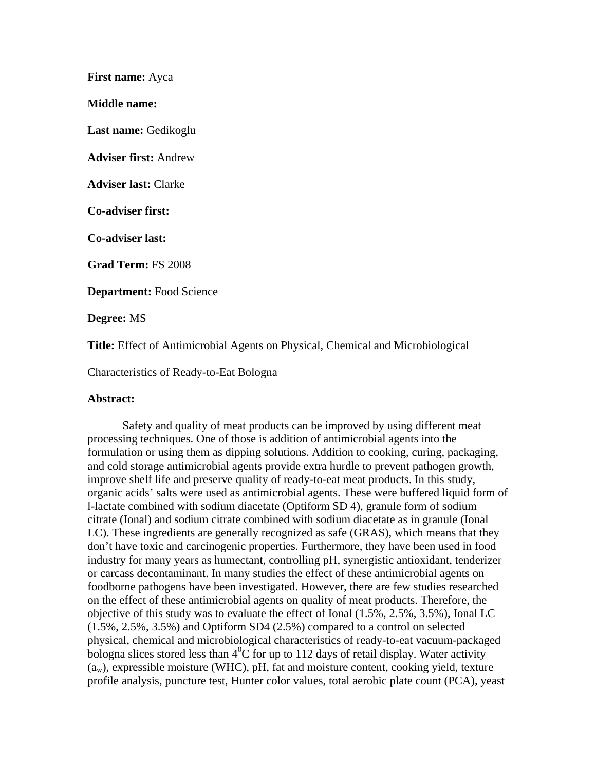**First name:** Ayca

**Middle name:** 

**Last name:** Gedikoglu

**Adviser first:** Andrew

**Adviser last:** Clarke

**Co-adviser first:** 

**Co-adviser last:** 

**Grad Term:** FS 2008

**Department:** Food Science

**Degree:** MS

**Title:** Effect of Antimicrobial Agents on Physical, Chemical and Microbiological

Characteristics of Ready-to-Eat Bologna

## **Abstract:**

 Safety and quality of meat products can be improved by using different meat processing techniques. One of those is addition of antimicrobial agents into the formulation or using them as dipping solutions. Addition to cooking, curing, packaging, and cold storage antimicrobial agents provide extra hurdle to prevent pathogen growth, improve shelf life and preserve quality of ready-to-eat meat products. In this study, organic acids' salts were used as antimicrobial agents. These were buffered liquid form of l-lactate combined with sodium diacetate (Optiform SD 4), granule form of sodium citrate (Ional) and sodium citrate combined with sodium diacetate as in granule (Ional LC). These ingredients are generally recognized as safe (GRAS), which means that they don't have toxic and carcinogenic properties. Furthermore, they have been used in food industry for many years as humectant, controlling pH, synergistic antioxidant, tenderizer or carcass decontaminant. In many studies the effect of these antimicrobial agents on foodborne pathogens have been investigated. However, there are few studies researched on the effect of these antimicrobial agents on quality of meat products. Therefore, the objective of this study was to evaluate the effect of Ional (1.5%, 2.5%, 3.5%), Ional LC (1.5%, 2.5%, 3.5%) and Optiform SD4 (2.5%) compared to a control on selected physical, chemical and microbiological characteristics of ready-to-eat vacuum-packaged bologna slices stored less than  $4^{0}C$  for up to 112 days of retail display. Water activity  $(a_w)$ , expressible moisture (WHC), pH, fat and moisture content, cooking yield, texture profile analysis, puncture test, Hunter color values, total aerobic plate count (PCA), yeast